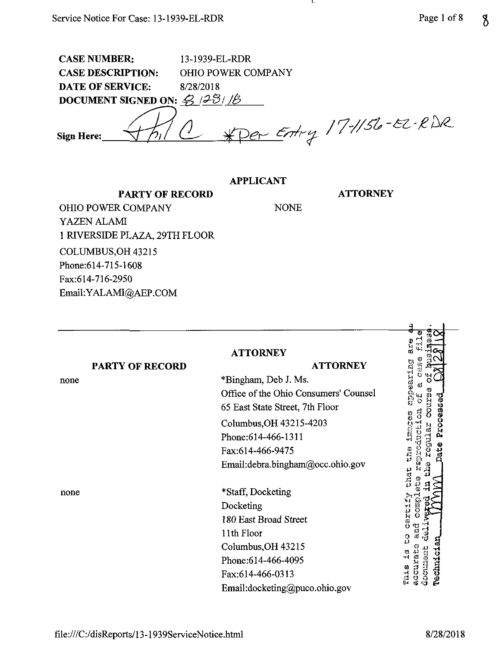| <b>CASE NUMBER:</b>                                                | 13-1939-EL-RDR            |
|--------------------------------------------------------------------|---------------------------|
| <b>CASE DESCRIPTION:</b>                                           | <b>OHIO POWER COMPANY</b> |
| <b>DATE OF SERVICE:</b>                                            | 8/28/2018                 |
| DOCUMENT SIGNED ON: $\mathcal{G}$ /2 $\mathcal{B}$ / $\mathcal{B}$ |                           |
| <b>Sign Here:</b>                                                  | $*PerErry$ /7-1156-82-RDR |

## **APPLICANT**

NONE

л,

**ATTORNEY**

**PARTY OF RECORD** OHIO POWER COMPANY YAZEN ALAMI <sup>1</sup> RIVERSIDE PLAZA, 29TH FLOOR COLUMBUS,OH 43215 Phone: 614-715-1608 Fax:614-716-2950 Email:YALAMI@AEP.COM

|      |                        | <b>ATTORNEY</b>                       | a.<br>S                               |
|------|------------------------|---------------------------------------|---------------------------------------|
|      | <b>PARTY OF RECORD</b> | <b>ATTORNEY</b>                       |                                       |
| none |                        | *Bingham, Deb J. Ms.                  | pearing                               |
|      |                        | Office of the Ohio Consumers' Counsel |                                       |
|      |                        | 65 East State Street, 7th Floor       | วิปัน<br>Processed                    |
|      |                        | Columbus, OH 43215-4203               |                                       |
|      |                        | Phone: 614-466-1311                   |                                       |
|      |                        | Fax:614-466-9475                      | ្ងប្ដូ                                |
|      |                        | Email:debra.bingham@occ.ohio.gov      |                                       |
|      |                        |                                       | chat                                  |
| none |                        | *Staff, Docketing                     |                                       |
|      |                        | Docketing                             | Camoro                                |
|      |                        | 180 East Broad Street                 | cercify                               |
|      |                        | 11th Floor                            | ្អូ<br>$\Omega$                       |
|      |                        | Columbus, OH 43215                    |                                       |
|      |                        | Phone: 614-466-4095                   |                                       |
|      |                        | Fax:614-466-0313                      | lechnici<br>Estrator:<br>のどこい<br>This |
|      |                        | Email:docketing@puco.ohio.gov         |                                       |

file:///C:/disReports/13-l 939ServiceNotice.html 8/28/2018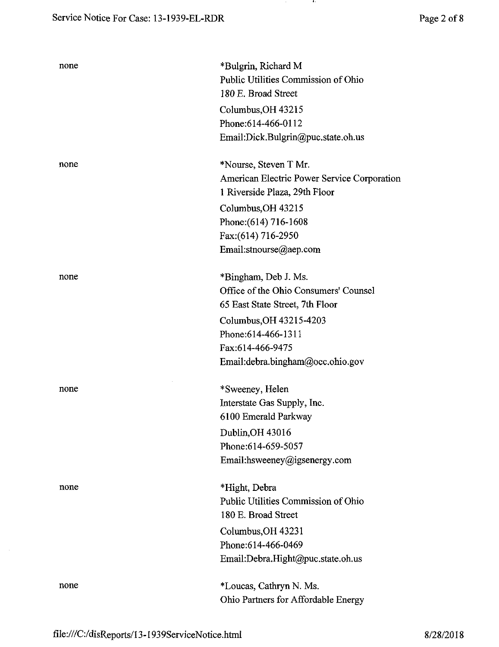| none | *Bulgrin, Richard M<br>Public Utilities Commission of Ohio<br>180 E. Broad Street<br>Columbus, OH 43215<br>Phone: 614-466-0112<br>Email:Dick.Bulgrin@puc.state.oh.us                                        |
|------|-------------------------------------------------------------------------------------------------------------------------------------------------------------------------------------------------------------|
| none | *Nourse, Steven T Mr.<br>American Electric Power Service Corporation<br>1 Riverside Plaza, 29th Floor<br>Columbus, OH 43215<br>Phone: (614) 716-1608<br>Fax: (614) 716-2950<br>Email:stnourse@aep.com       |
| none | *Bingham, Deb J. Ms.<br>Office of the Ohio Consumers' Counsel<br>65 East State Street, 7th Floor<br>Columbus, OH 43215-4203<br>Phone: 614-466-1311<br>Fax:614-466-9475<br>Email: debra.bingham@occ.ohio.gov |
| none | *Sweeney, Helen<br>Interstate Gas Supply, Inc.<br>6100 Emerald Parkway<br>Dublin, OH 43016<br>Phone: 614-659-5057<br>Email:hsweeney@igsenergy.com                                                           |
| none | *Hight, Debra<br>Public Utilities Commission of Ohio<br>180 E. Broad Street<br>Columbus, OH 43231<br>Phone: 614-466-0469<br>Email:Debra.Hight@puc.state.oh.us                                               |
| none | *Loucas, Cathryn N. Ms.<br>Ohio Partners for Affordable Energy                                                                                                                                              |

**Contract** 

 $\sim$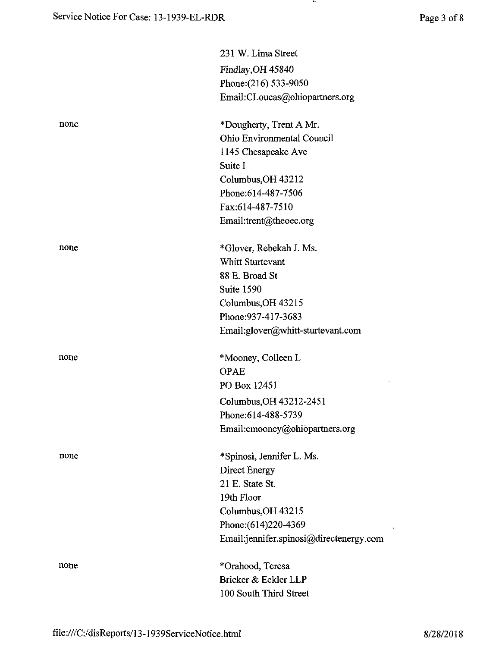|      | 231 W. Lima Street                      |
|------|-----------------------------------------|
|      | Findlay, OH 45840                       |
|      | Phone: (216) 533-9050                   |
|      | Email:CLoucas@ohiopartners.org          |
| none | *Dougherty, Trent A Mr.                 |
|      | Ohio Environmental Council              |
|      | 1145 Chesapeake Ave                     |
|      | Suite I                                 |
|      | Columbus, OH 43212                      |
|      | Phone: 614-487-7506                     |
|      | Fax:614-487-7510                        |
|      | Email:trent@theoec.org                  |
| none | *Glover, Rebekah J. Ms.                 |
|      | Whitt Sturtevant                        |
|      | 88 E. Broad St                          |
|      | Suite 1590                              |
|      | Columbus, OH 43215                      |
|      | Phone: 937-417-3683                     |
|      | Email:glover@whitt-sturtevant.com       |
| none | *Mooney, Colleen L                      |
|      | <b>OPAE</b>                             |
|      | PO Box 12451                            |
|      | Columbus, OH 43212-2451                 |
|      | Phone: 614-488-5739                     |
|      | Email: cmooney@ohiopartners.org         |
| none | *Spinosi, Jennifer L. Ms.               |
|      | Direct Energy                           |
|      | 21 E. State St.                         |
|      | 19th Floor                              |
|      | Columbus, OH 43215                      |
|      | Phone: (614) 220-4369                   |
|      | Email:jennifer.spinosi@directenergy.com |
| none | *Orahood, Teresa                        |
|      | Bricker & Eckler LLP                    |
|      | 100 South Third Street                  |
|      |                                         |

**Contract**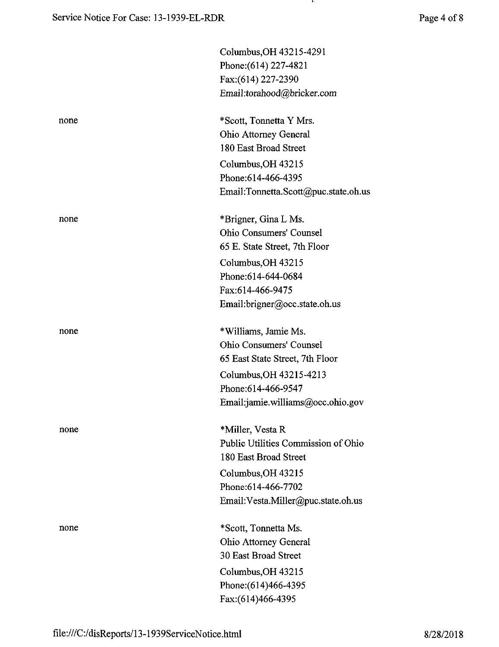- 19

|      | Columbus, OH 43215-4291              |
|------|--------------------------------------|
|      | Phone: (614) 227-4821                |
|      | Fax:(614) 227-2390                   |
|      | Email:torahood@bricker.com           |
| none | *Scott, Tonnetta Y Mrs.              |
|      | Ohio Attorney General                |
|      | 180 East Broad Street                |
|      | Columbus, OH 43215                   |
|      | Phone: 614-466-4395                  |
|      | Email:Tonnetta.Scott@puc.state.oh.us |
| none | *Brigner, Gina L Ms.                 |
|      | Ohio Consumers' Counsel              |
|      | 65 E. State Street, 7th Floor        |
|      | Columbus, OH 43215                   |
|      | Phone: 614-644-0684                  |
|      | Fax:614-466-9475                     |
|      | Email:brigner@occ.state.oh.us        |
| none | *Williams, Jamie Ms.                 |
|      | <b>Ohio Consumers' Counsel</b>       |
|      | 65 East State Street, 7th Floor      |
|      | Columbus, OH 43215-4213              |
|      | Phone: 614-466-9547                  |
|      | Email:jamie.williams@occ.ohio.gov    |
| none | *Miller, Vesta R                     |
|      | Public Utilities Commission of Ohio  |
|      | 180 East Broad Street                |
|      | Columbus, OH 43215                   |
|      | Phone:614-466-7702                   |
|      | Email: Vesta.Miller@puc.state.oh.us  |
| none | *Scott, Tonnetta Ms.                 |
|      | Ohio Attorney General                |
|      | 30 East Broad Street                 |
|      | Columbus, OH 43215                   |
|      | Phone: (614) 466-4395                |
|      | Fax:(614)466-4395                    |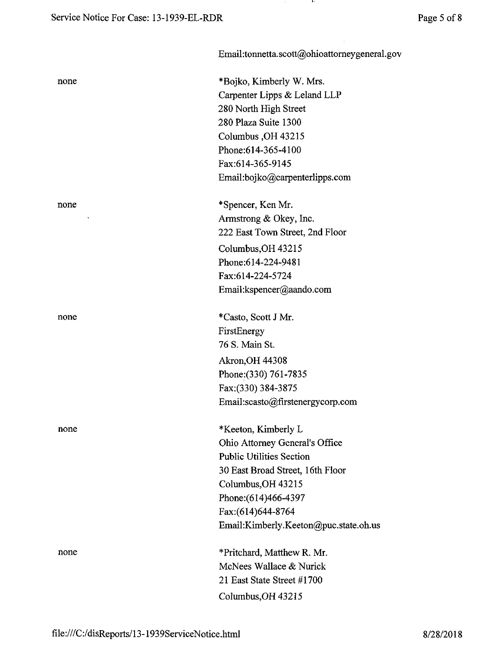|      | Email:tonnetta.scott@ohioattorneygeneral.gov |
|------|----------------------------------------------|
| none | *Bojko, Kimberly W. Mrs.                     |
|      | Carpenter Lipps & Leland LLP                 |
|      | 280 North High Street                        |
|      | 280 Plaza Suite 1300                         |
|      | Columbus, OH 43215                           |
|      | Phone: 614-365-4100                          |
|      | Fax:614-365-9145                             |
|      | Email:bojko@carpenterlipps.com               |
| none | *Spencer, Ken Mr.                            |
|      | Armstrong & Okey, Inc.                       |
|      | 222 East Town Street, 2nd Floor              |
|      | Columbus, OH 43215                           |
|      | Phone:614-224-9481                           |
|      | Fax:614-224-5724                             |
|      | Email:kspencer@aando.com                     |
| none | *Casto, Scott J Mr.                          |
|      | FirstEnergy                                  |
|      | 76 S. Main St.                               |
|      | <b>Akron, OH 44308</b>                       |
|      | Phone: (330) 761-7835                        |
|      | Fax: (330) 384-3875                          |
|      | Email:scasto@firstenergycorp.com             |
| none | *Keeton, Kimberly L                          |
|      | Ohio Attorney General's Office               |
|      | <b>Public Utilities Section</b>              |
|      | 30 East Broad Street, 16th Floor             |
|      | Columbus, OH 43215                           |
|      | Phone: (614)466-4397                         |
|      | Fax: (614) 644-8764                          |
|      | Email:Kimberly.Keeton@puc.state.oh.us        |
| none | *Pritchard, Matthew R. Mr.                   |
|      | McNees Wallace & Nurick                      |
|      | 21 East State Street #1700                   |
|      | Columbus, OH 43215                           |

and the con-

 $\bar{z}$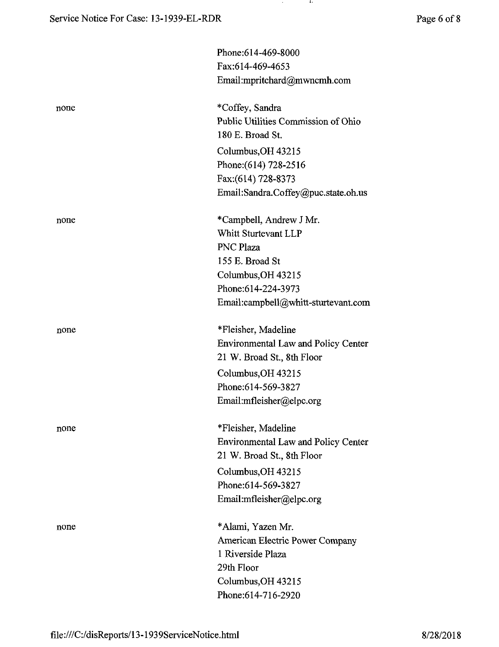|      | Phone: 614-469-8000                                     |
|------|---------------------------------------------------------|
|      | Fax:614-469-4653                                        |
|      | Email:mpritchard@mwncmh.com                             |
| none | *Coffey, Sandra                                         |
|      | Public Utilities Commission of Ohio<br>180 E. Broad St. |
|      | Columbus, OH 43215                                      |
|      | Phone: (614) 728-2516                                   |
|      | Fax: (614) 728-8373                                     |
|      | Email:Sandra.Coffey@puc.state.oh.us                     |
| none | *Campbell, Andrew J Mr.                                 |
|      | Whitt Sturtevant LLP                                    |
|      | <b>PNC Plaza</b>                                        |
|      | 155 E. Broad St                                         |
|      | Columbus, OH 43215                                      |
|      | Phone:614-224-3973                                      |
|      | Email:campbell@whitt-sturtevant.com                     |
| none | *Fleisher, Madeline                                     |
|      | <b>Environmental Law and Policy Center</b>              |
|      | 21 W. Broad St., 8th Floor                              |
|      | Columbus, OH 43215                                      |
|      | Phone: 614-569-3827                                     |
|      | Email:mfleisher@elpc.org                                |
| none | *Fleisher, Madeline                                     |
|      | <b>Environmental Law and Policy Center</b>              |
|      | 21 W. Broad St., 8th Floor                              |
|      | Columbus, OH 43215                                      |
|      | Phone: 614-569-3827                                     |
|      | Email:mfleisher@elpc.org                                |
| none | *Alami, Yazen Mr.                                       |
|      | American Electric Power Company                         |
|      | 1 Riverside Plaza                                       |
|      | 29th Floor                                              |
|      | Columbus, OH 43215                                      |
|      | Phone:614-716-2920                                      |

and the p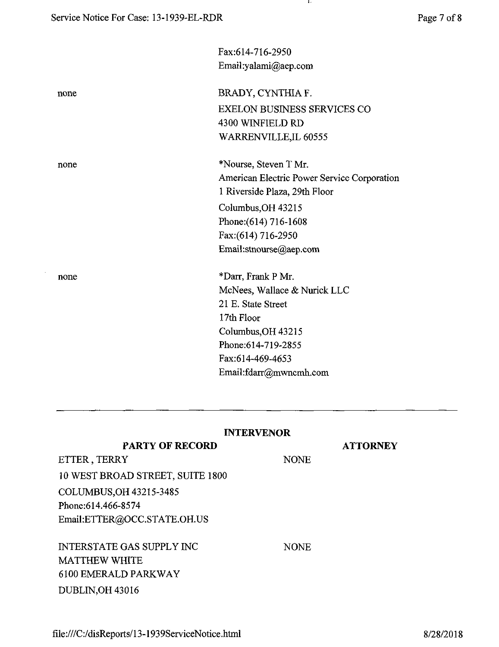$\mathcal{A}^{\pm}$ 

|      | Fax:614-716-2950                            |
|------|---------------------------------------------|
|      | Email:yalami@aep.com                        |
|      |                                             |
| none | BRADY, CYNTHIA F.                           |
|      | <b>EXELON BUSINESS SERVICES CO</b>          |
|      | 4300 WINFIELD RD                            |
|      | WARRENVILLE, IL 60555                       |
| none | *Nourse, Steven T Mr.                       |
|      | American Electric Power Service Corporation |
|      | 1 Riverside Plaza, 29th Floor               |
|      | Columbus, OH 43215                          |
|      | Phone: (614) 716-1608                       |
|      | Fax:(614) 716-2950                          |
|      | Email:stnourse@aep.com                      |
| none | *Darr, Frank P Mr.                          |
|      | McNees, Wallace & Nurick LLC                |
|      | 21 E. State Street                          |
|      | 17th Floor                                  |
|      | Columbus, OH 43215                          |
|      | Phone: 614-719-2855                         |
|      | Fax:614-469-4653                            |
|      | Email:fdarr@mwncmh.com                      |
|      |                                             |

 $\mathbf{r}$ 

| <b>INTERVENOR</b>                |             |                 |  |
|----------------------------------|-------------|-----------------|--|
| <b>PARTY OF RECORD</b>           |             | <b>ATTORNEY</b> |  |
| ETTER, TERRY                     | <b>NONE</b> |                 |  |
| 10 WEST BROAD STREET, SUITE 1800 |             |                 |  |
| COLUMBUS, OH 43215-3485          |             |                 |  |
| Phone: 614.466-8574              |             |                 |  |
| Email:ETTER@OCC.STATE.OH.US      |             |                 |  |
| INTERSTATE GAS SUPPLY INC        | <b>NONE</b> |                 |  |
| MATTHEW WHITE                    |             |                 |  |
| 6100 EMERALD PARKWAY             |             |                 |  |
| <b>DUBLIN, OH 43016</b>          |             |                 |  |

file:///C:/disReports/l3-1939ServiceNotice.html 8/28/2018